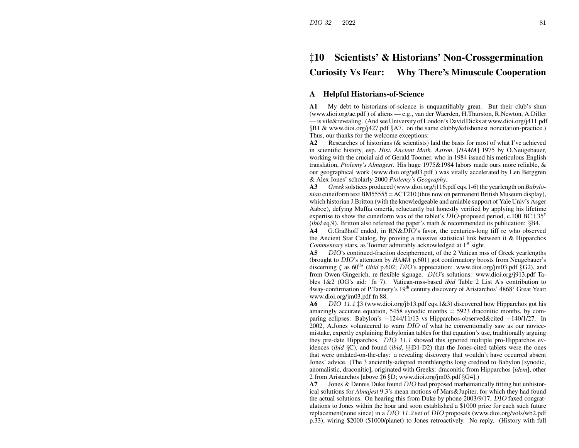# ‡**10 Scientists' & Historians' Non-Crossgermination**

## **Curiosity Vs Fear: Why There's Minuscule Cooperation**

### **A Helpful Historians-of-Science**

**A1** My debt to historians-of-science is unquantifiably great. But their club's shun (www.dioi.org/ac.pdf ) of aliens — e.g., van der Waerden, H.Thurston, R.Newton, A.Diller —is vile&revealing. (And see University ofLondon's David Dicks at www.dioi.org/j411.pdf §B1 & www.dioi.org/j427.pdf §A7. on the same clubby&dishonest noncitation-practice.) Thus, our thanks for the welcome exceptions:

**A2** Researches of historians (& scientists) laid the basis for most of what I've achieved in scientific history, esp. *Hist. Ancient Math. Astron*. [*HAMA*] 1975 by O.Neugebauer, working with the crucial aid of Gerald Toomer, who in 1984 issued his meticulous English translation, *Ptolemy's Almagest*. His huge 1975&1984 labors made ours more reliable, & our geographical work (www.dioi.org/je03.pdf ) was vitally accelerated by Len Berggren & Alex Jones' scholarly 2000 *Ptolemy's Geography*.

**A3** *Greek* solstices produced (www.dioi.org/j116.pdf eqs.1-6) the yearlength on *Babylonian* cuneiform text BM55555 <sup>=</sup> ACT210 (thus now on permanen<sup>t</sup> British Museum display), which historian J.Britton (with the knowledgeable and amiable suppor<sup>t</sup> of Yale Univ's Asger Aaboe), defying Muffia omertà, reluctantly but honestly verified by applying his lifetime expertise to show the cuneiform was of the tablet's DIO-proposed period, c.100 BC $\pm$ 35<sup>y</sup> (*ibid* eq.9). Britton also refereed the paper's math & recommended its publication: §B4.

**A4** G.Graßhoff ended, in RN&DIO's favor, the centuries-long tiff re who observed the Ancient Star Catalog, by proving <sup>a</sup> massive statistical link between it & Hipparchos *Commentary* stars, as Toomer admirably acknowledged at 1<sup>st</sup> sight.

**A5** DIO's continued-fraction decipherment, of the 2 Vatican mss of Greek yearlengths (brought to DIO's attention by *HAMA* p.601) go<sup>t</sup> confirmatory boosts from Neugebauer's discerning  $\xi$  as 60<sup>ths</sup> (*ibid* p.602; DIO's appreciation: www.dioi.org/jm03.pdf §G2), and from Owen Gingerich, re flexible signage. DIO's solutions: www.dioi.org/j913.pdf Tables 1&2 (OG's aid: fn 7). Vatican-mss-based *ibid* Table 2 List A's contribution to 4way-confirmation of P.Tannery's  $19<sup>th</sup>$  century discovery of Aristarchos' 4868<sup>y</sup> Great Year: www.dioi.org/jm03.pdf fn 88.

**A6** DIO 11.1 ‡3 (www.dioi.org/jb13.pdf eqs.1&3) discovered how Hipparchos go<sup>t</sup> his amazingly accurate equation,  $5458$  synodic months  $= 5923$  draconitic months, by comparing eclipses: Babylon's <sup>−</sup>1244/11/13 vs Hipparchos-observed&cited <sup>−</sup>140/1/27. In 2002, A.Jones volunteered to warn DIO of what he conventionally saw as our novicemistake, expertly explaining Babylonian tables for that equation's use, traditionally arguing they pre-date Hipparchos. DIO 11.1 showed this ignored multiple pro-Hipparchos evidences (*ibid* §C), and found (*ibid*, §§D1-D2) that the Jones-cited tablets were the ones that were undated-on-the-clay: <sup>a</sup> revealing discovery that wouldn't have occurred absent Jones' advice. (The 3 anciently-adopted monthlengths long credited to Babylon [synodic, anomalistic, draconitic], originated with Greeks: draconitic from Hipparchos [*idem*], other 2 from Aristarchos [above ‡6 §D; www.dioi.org/jm03.pdf §G4].)

**A7Jones & Dennis Duke found DIO had proposed mathematically fitting but unhistor**ical solutions for *Almajest* 9.3's mean motions of Mars&Jupiter, for which they had found the actual solutions. On hearing this from Duke by phone 2003/9/17, DIO faxed congratulations to Jones within the hour and soon established <sup>a</sup> \$1000 prize for each such future replacement(none since) in <sup>a</sup> DIO 11.2 set of DIO proposals (www.dioi.org/vols/wb2.pdf p.33), wiring \$2000 (\$1000/planet) to Jones retroactively. No reply. (History with full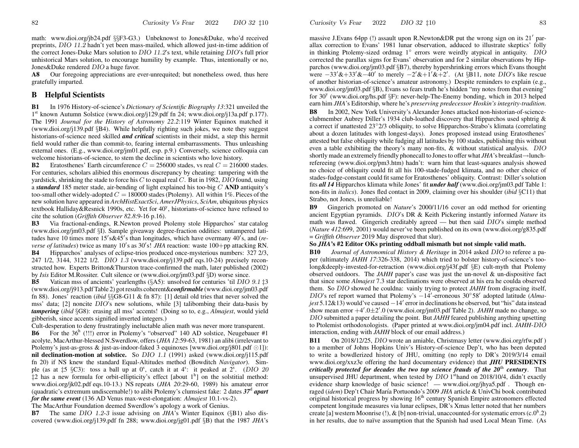math: www.dioi.org/jb24.pdf §§F3-G3.) Unbeknowst to Jones&Duke, who'd received preprints, DIO 11.2 hadn't ye<sup>t</sup> been mass-mailed, which allowed just-in-time addition of the correct Jones-Duke Mars solution to *DIO 11.2*'s text, while retaining *DIO*'s full prior unhistorical Mars solution, to encourage humility by example. Thus, intentionally or no, Jones&Duke rendered DIO <sup>a</sup> huge favor.

**A8** Our foregoing appreciations are ever-unrequited; but nonetheless owed, thus here gratefully imparted.

#### **B Helpful Scientists**

**B1** In 1976 History-of-science's *Dictionary of Scientific Biography 13*:321 unveiled the 1<sup>st</sup> known Autumn Solstice (www.dioi.org/j129.pdf fn 24; www.dioi.org/j13a.pdf p.177). The 1991 *Journal for the History of Astronomy 22.2*:119 Winter Equinox matched it (www.dioi.org/j139.pdf §B4). While helpfully righting such jokes, we note they sugges<sup>t</sup> historians-of-science need skilled *and critical* scientists in their midst, <sup>a</sup> step this hermit field would rather die than commit-to, fearing internal embarrassments. Thus unleashing external ones. (E.g., www.dioi.org/jm01.pdf, esp. p.9.) Conversely, science colloquia can welcome historians-of-science, to stem the decline in scientists who love history.

**B2**2 Eratosthenes' Earth circumference  $C = 256000$  stades, vs real  $C = 216000$  stades. For centuries, scholars alibied this enormous discrepancy by cheating: tampering with the yardstick, shrinking the stade to force his C to equal real C. But in 1982, DIO found, using a *standard* 185 meter stade, air-bending of light explained his too-big C **AND** antiquity's too-small other widely-adopted  $C = 180000$  stades (Ptolemy). All within 1%. Pieces of the ne w solution have appeared in *ArchHistExactSci*, *AmerJPhysics*, *SciAm*, ubiquitous physics textbook Halliday&Resnick 1990s, etc. Yet for 40<sup>y</sup>, historians-of-science have refused to cite the solution (*Griffith Observer 82.8*:9-16 p.16).

**B3**Via fractional-endings, R.Newton proved Ptolemy stole Hipparchos' star catalog (www.dioi.org/jm03.pdf §I). Sample givea way degree-fraction oddities: untampered latitudes have 10 times more 15's&45's than longitudes, which have overmany 40's, and (*reverse of latitudes*) twice as many 10's as 30's! *JHA* reaction: waste 100+pp attacking RN. **B4** Hipparchos' analyses of eclipse-trios produced once-mysterious numbers: 327 2/3, 247 1/2, 3144, 3122 1/2. DIO 1.3 (www.dioi.org/j139.pdf eqs.10-24) precisely reconstructed ho w. Experts Britton&Thurston trace-confirmed the math, later published (2002) by *Isis* Editor M.Rossiter. Cult silence or (www.dioi.org/jm03.pdf §D) worse since.

**B5**Vatican mss of ancients' yearlengths (§A5): unsolved for centuries 'til DIO 9.1 ‡3 (www.dioi.org/j913.pdf Table 2) gotresults coherent&*confirmable* (www.dioi.org/jm03.pdf fn 88). Jones' reaction (*ibid* §§G8-G11 & fn 87): [1] detail old tries that never solved the mss' data; [2] noncite DIO's ne w solutions, while [3] talibombing their data-basis by *tampering* (*ibid* §G8): erasing all mss' accents! (Doing so to, e.g., *Almajest*, would yield gibberish, since accents signified inverted integers.)

Cult-desperation to deny frustratingly ineluctable alien math was never more transparent. **B6** For the 36<sup>h</sup> (!!!) error in Ptolemy's "observed" 140 AD solstice, Neugebauer #1 acolyte, MacArthur-blessed N.Swerdlo w, offers(*JHA 12*:59-63, 1981) an alibi (irrelevant to Ptolemy's just-as-gross & just-as-indoor-faked 3 equinoxes [www.dioi.org/j801.pdf  $\odot$ 1]): **nil declination-motion at solstice.** So DIO 1.1 (1991) asked (www.dioi.org/j115.pdf fn 20) if NS kne w the standard Equal-Altitudes method (Bowditch *Navigator*). Simple (as at  $\sharp 5 \S C3$ ): toss a ball up at  $0^s$ , catch it at  $4^s$ : it peaked at  $2^s$ . (DIO 20  $\ddagger$ 2 has a new formula for orbit-ellipticity's effect [about 1<sup>h</sup>] on the solstitial method: www.dioi.org/jk02.pdf eqs.10-13.) NS repeats (*JHA 20*:29-60, 1989) his amateur error (quadratic's extremum undiscernable!) to alibi Ptolemy's clumsiest fake: <sup>2</sup> dates *<sup>37</sup>*<sup>d</sup> *apart for the same event* (136 AD Venus max-west-elongation: *Almajest* 10.1-vs-2).

The MacArthur Foundation deemed Swerdlow's apology <sup>a</sup> work of Genius.

**B7** The same DIO 1.2-3 issue advising on *JHA*'s Winter Equinox (§B1) also discovered (www.dioi.org/j139.pdf fn 288; www.dioi.org/jg01.pdf §B) that the 1987 *JHA*'s Curiosity Vs Fear 20222 DIO 32  $\ddagger$ 10 83

massive J.Evans 64pp (!) assault upon R.Newton&DR put the wrong sign on its  $21'$  parallax correction to Evans' 1981 lunar observation, adduced to illustrate skeptics' folly in thinking Ptolemy-sized ordmag  $1^\circ$  errors were weirdly atypical in antiquity. DIO corrected the parallax signs for Evans' observation and for 2 similar observations by Hipparchos (www.dioi.org/jm03.pdf §B7), thereby hypershrinking errors which Evans thought were  $-33' \& +33' \& -40'$  to merely  $-2' \& +1' \& +2'$ . (At §B11, note DIO's like rescue of another historian-of-science's amateur astronomy.) Despite reminders to explain (e.g., www.dioi.org/jm03.pdf §B), Evans so fears truth he's hidden "my notes from that evening" for  $30^y$  (www.dioi.org/hs.pdf  $\S$ F): never-help-The-Enemy bonding, which in 2013 helped earn him *JHA*'s Editorship, where he's *preserving predecessor Hoskin's integrity-tradition*. **B8** In 2002, Ne w York University's Alexander Jones attacked non-historian-of-scienceclubmember Aubrey Diller's 1934 club-loathed discovery that Hipparchos used sphtrig &a correct if unattested 23◦2/3 obliquity, to solve Hipparchos-Strabo's klimata (correlating about a dozen latitudes with longest-days). Jones proposed instead using Eratosthenes' attested but false obliquity while fudging all latitudes by 100 stades, publishing this without even <sup>a</sup> table exhibiting the theory's many non-fits, & without statistical analysis. DIO shortly made an extremely friendly phonecall to Jonesto offer what *JHA*'s breakfast →lunchrefereeing (www.dioi.org/pm3.htm) hadn't: warn him that least-squares analysis showed no choice of obliquity could fit all his 100-stade-fudged klimata, and no other choice of stades-fudge-constant could fitsame for Eratosthenes' obliquity. Contrast: Diller'ssolution fits *all 14* Hipparchos klimata while Jones' fit *under half* (www.dioi.org/jm03.pdf Table 1: non-fits in *italics*). Jones fled contact in 2009, claiming over his shoulder (*ibid* §C11) that Strabo, not Jones, is unreliable!

**B9** Gingerich promoted on *Nature*'s 2000/11/16 cover an odd method for orienting ancient Egyptian pyramids. DIO's DR & Keith Pickering instantly informed *Nature* its math was flawed. Gingerich creditably agreed — but then said DIO's simple method (*Nature 412*:699, 2001) would never've been published on its own (www.dioi.org/g835.pdf = *Griffith Observer* 2019 May disproved that slur).

#### **So** *JHA***'s #2 Editor OKs printing oddball mismath but not simple valid math.**

**B10** *Journal of Astronomical History & Heritage* in 2014 asked DIO to referee <sup>a</sup> paper (ultimately *JAHH 17*:326-338, 2014) which tried to bolster history-of-science's toolong&deeply-invested-for-retraction (www.dioi.org/j43f.pdf §E) cult-myth that Ptolemy observed outdoors. The *JAHH* paper's case was just the un-novel & un-dispositive fact that since some *Almajest* 7.3 star declinations were observed at his era he coulda observed them. So DIO showed he couldna: vainly trying to protect *JAHH* from disgracing itself, DIO's ref report warned that Ptolemy's -14'-erroneous 30°58' adopted latitude (*Almajest* 5.12&13) would've caused −14<sup>'</sup> error in declinations he observed, but "his" data instead show mean error  $+4'$ .0 $\pm 2'$ .0 (www.dioi.org/jm03.pdf Table 2). *JAHH* made no change, so DIO submitted <sup>a</sup> paper detailing the point. But *JAHH* feared publishing anything upsetting to Ptolemist orthodoxologists. (Paper printed at www.dioi.org/jm04.pdf incl. *JAHH*-DIO interaction, ending with *JAHH* block of our email address.)

**B11** On 2018/12/25, DIO wrote an amiable, Christmasy letter (www.dioi.org/rfw.pdf ) to <sup>a</sup> member of Johns Hopkins Univ's History-of-science Dep't, who has been deputed to write <sup>a</sup> bowdlerized history of JHU, omitting (no reply to DR's 2019/3/14 email www.dioi.org/xxz3e offering the hard documentary evidence) that *JHU* **PRESIDENTS** *critically protected for decades the two top science frauds of the <sup>20</sup>*th *century*. That unsupervised JHU department, when tested by  $DIO$  1<sup>st</sup>hand on 2018/10/4, didn't exactly evidence sharp knowledge of basic science! — www.dioi.org/jhya5.pdf . Though enraged (*idem*) Dep't Chair Mar´ıa Portuondo's 2009 *JHA* article & UnivChi book contributed original historical progress by showing  $16<sup>th</sup>$  century Spanish Empire astronomers effected competent longitude measures via lunar eclipses, DR's Xmas letter noted that her numbers create [a] western Moonrise (!), & [b] non-trivial, unaccounted-for systematic errors (c.0<sup>h</sup>.2) in her results, due to naïve assumption that the Spanish had used Local Mean Time. (As